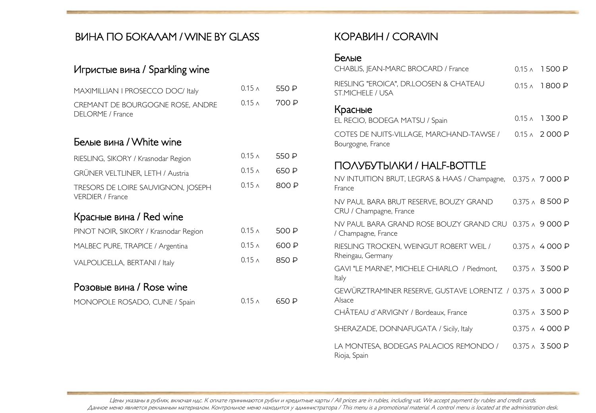# ВИНА ПО БОКАЛАМ / WINE BY GLASS

# Игристые вина / Sparkling wine

| MAXIMILLIAN I PROSECCO DOC/ Italy                    | $0.15 \lambda$ | -550 P                      |
|------------------------------------------------------|----------------|-----------------------------|
| CREMANT DE BOURGOGNE ROSE, ANDRE<br>DELORME / France |                | $0.15 \wedge 700 \text{ P}$ |

#### Белые вина / White wine

| $0.15 \wedge$ | - 550 P        |
|---------------|----------------|
| $0.15 \wedge$ | 650 P          |
|               | -800 P         |
|               | $0.15 \lambda$ |

### Красные вина / Red wine

| PINOT NOIR, SIKORY / Krasnodar Region | $0.15 \wedge$ | - 500 P |
|---------------------------------------|---------------|---------|
| MALBEC PURE, TRAPICE / Argentina      | $0.15 \wedge$ | -600 P  |
| VALPOLICELLA, BERTANI / Italy         | $0.15 \wedge$ | 850 P   |

#### Розовые вина / Rose wine

| MONOPOLE ROSADO, CUNE / Spain | $0.15 \lambda$ | 650 P |
|-------------------------------|----------------|-------|
|                               |                |       |

# КОРАВИН / CORAVIN

#### Белые

| CHABLIS, JEAN-MARC BROCARD / France                                            |               | $0.15 \wedge 1500 \text{ P}$  |
|--------------------------------------------------------------------------------|---------------|-------------------------------|
| RIESLING "EROICA", DR.LOOSEN & CHATEAU<br>ST.MICHELE / USA                     | $0.15 \wedge$ | 1800P                         |
| Красные<br>EL RECIO, BODEGA MATSU / Spain                                      |               | $0.15 \wedge 1300 \text{ P}$  |
| COTES DE NUITS-VILLAGE, MARCHAND-TAWSE /<br>Bourgogne, France                  |               | $0.15 \wedge 2000 \text{ P}$  |
| ПОЛУБУТЫЛКИ / HALF-BOTTLE                                                      |               |                               |
| NV INTUITION BRUT, LEGRAS & HAAS / Champagne, 0.375 ^ 7000 P<br>France         |               |                               |
| NV PAUL BARA BRUT RESERVE, BOUZY GRAND<br>CRU / Champagne, France              |               | 0.375 ∧ 8 500 ₽               |
| NV PAUL BARA GRAND ROSE BOUZY GRAND CRU 0.375 ^ 9 000 P<br>/ Champagne, France |               |                               |
| RIESLING TROCKEN, WEINGUT ROBERT WEIL /<br>Rheingau, Germany                   |               | $0.375 \wedge 4000 \text{ P}$ |
| GAVI "LE MARNE", MICHELE CHIARLO / Piedmont,<br>Italy                          |               | 0.375 ∧ 3 500 ₽               |
| GEWÜRZTRAMINER RESERVE, GUSTAVE LORENTZ / 0.375 ^ 3 000 P<br>Alsace            |               |                               |
| CHÂTEAU d'ARVIGNY / Bordeaux, France                                           |               | 0.375 ∧ 3 500 ₽               |
| SHERAZADE, DONNAFUGATA / Sicily, Italy                                         |               | 0.375 ∧ 4000 ₽                |
| LA MONTESA, BODEGAS PALACIOS REMONDO /<br>Rioja, Spain                         |               | $0.375 \wedge 3500 \text{ P}$ |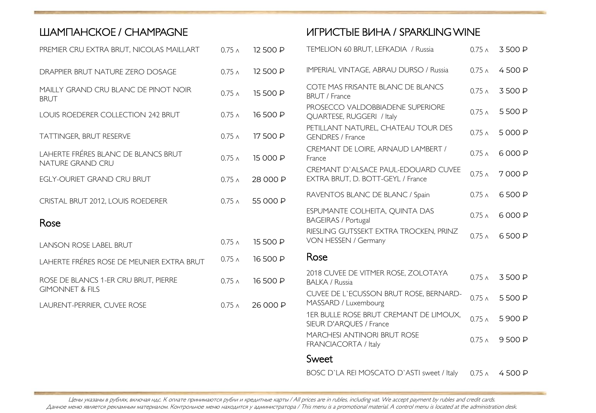# ШАМПАНСКОЕ / CHAMPAGNE

| PREMIER CRU EXTRA BRUT, NICOLAS MAILLART                           | $0.75 \wedge$     | 12 500 P | <b>TEMELIC</b>                                     |
|--------------------------------------------------------------------|-------------------|----------|----------------------------------------------------|
| DRAPPIER BRUT NATURE ZERO DOSAGE                                   | $0.75 \wedge$     | 12 500 P | <b>IMPERIAI</b>                                    |
| MAILLY GRAND CRU BLANC DE PINOT NOIR<br>BRUT                       | 0.75 <sub>A</sub> | 15 500 P | COTE <sub>M</sub><br>BRUT / F                      |
| LOUIS ROEDERER COLLECTION 242 BRUT                                 | $0.75\Lambda$     | 16 500 P | <b>PROSEC</b><br><b>QUARTE</b>                     |
| TATTINGER, BRUT RESERVE                                            | $0.75 \wedge$     | 17 500 P | <b>PETILLAI</b><br><b>GENDRE</b>                   |
| LAHERTE FRÉRES BLANC DE BLANCS BRUT<br>NATURE GRAND CRU            | 0.75 <sub>A</sub> | 15 000 P | <b>CREMAN</b><br>France                            |
| EGLY-OURIET GRAND CRU BRUT                                         | 0.75 <sub>A</sub> | 28 000 P | <b>CREMAN</b><br><b>EXTRA B</b>                    |
| CRISTAL BRUT 2012, LOUIS ROEDERER                                  | $0.75 \wedge$     | 55 000 P | <b>RAVENT</b>                                      |
| Rose                                                               |                   |          | <b>ESPUMA</b><br><b>BAGEIRA</b><br><b>RIESLING</b> |
| <b>LANSON ROSE LABEL BRUT</b>                                      | $0.75\Lambda$     | 15 500 P | <b>VON HE</b>                                      |
| LAHERTE FRÉRES ROSE DE MEUNIER EXTRA BRUT                          | 0.75 <sub>A</sub> | 16 500 P | Rose                                               |
| ROSE DE BLANCS 1-ER CRU BRUT, PIERRE<br><b>GIMONNET &amp; FILS</b> | $0.75 \wedge$     | 16 500 P | 2018 CU<br><b>BALKA /</b><br><b>CUVEE D</b>        |
| LAURENT-PERRIER, CUVEE ROSE                                        | $0.75 \wedge$     | 26 000 P | <b>MASSAR</b><br>1ER BUL<br>$C[\Gamma]\Gamma$      |

# ИГРИСТЫЕ ВИНА / SPARKLING WINE

| TEMELION 60 BRUT, LEFKADIA / Russia                                      | $0.75\Lambda$     | 3500 P  |
|--------------------------------------------------------------------------|-------------------|---------|
| <b>IMPERIAL VINTAGE, ABRAU DURSO / Russia</b>                            | $0.75\Lambda$     | 4500 P  |
| COTE MAS FRISANTE BLANC DE BLANCS<br>BRUT / France                       | $0.75\Lambda$     | 3500 P  |
| PROSECCO VALDOBBIADENE SUPERIORE<br><b>QUARTESE, RUGGERI / Italy</b>     | 0.75 <sub>A</sub> | 5500 P  |
| PETILLANT NATUREL, CHATEAU TOUR DES<br><b>GENDRES / France</b>           | 0.75 <sub>A</sub> | 5000 P  |
| CREMANT DE LOIRE, ARNAUD LAMBERT /<br>France                             | 0.75 <sub>A</sub> | 6 000 ₽ |
| CREMANT D'ALSACE PAUL-EDOUARD CUVEE<br>EXTRA BRUT, D. BOTT-GEYL / France | $0.75\Lambda$     | 7000 P  |
| RAVENTOS BLANC DE BLANC / Spain                                          | 0.75 <sub>A</sub> | 6500 P  |
| ESPUMANTE COLHEITA, QUINTA DAS<br><b>BAGEIRAS / Portugal</b>             | 0.75 <sub>A</sub> | 6000 P  |
| RIESLING GUTSSEKT EXTRA TROCKEN, PRINZ<br>VON HESSEN / Germany           | 0.75 <sub>A</sub> | 6500 P  |
| Rose                                                                     |                   |         |
| 2018 CUVEE DE VITMER ROSE, ZOLOTAYA<br><b>BALKA / Russia</b>             | $0.75\lambda$     | 3500 P  |
| CUVEE DE L'ECUSSON BRUT ROSE, BERNARD-<br>MASSARD / Luxembourg           | 0.75 <sub>A</sub> | 5500P   |
| 1ER BULLE ROSE BRUT CREMANT DE LIMOUX,<br>SIEUR D'ARQUES / France        | 0.75 <sub>A</sub> | 5900 P  |
| <b>MARCHESI ANTINORI BRUT ROSE</b><br>FRANCIACORTA / Italy               | $0.75\Lambda$     | 9500P   |
| Sweet                                                                    |                   |         |

BOSC D`LA REI MOSCATO D`ASTI sweet / Italy 0.75 ^ 4 500 P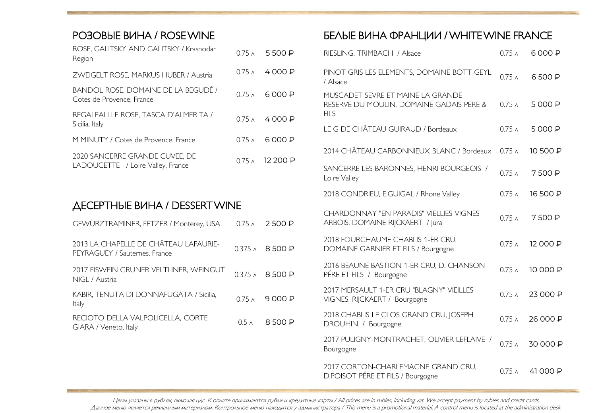| <b>PO3OBLIE BVIHA / ROSE WINE</b>                                      |                   |                       | <b><i>BEABIE BUHA OPAHLUUM / WHITE WINE FRANCE</i></b>                        |                   |          |
|------------------------------------------------------------------------|-------------------|-----------------------|-------------------------------------------------------------------------------|-------------------|----------|
| ROSE, GALITSKY AND GALITSKY / Krasnodar<br>Region                      | $0.75\Lambda$     | 5500 P                | RIESLING, TRIMBACH / Alsace                                                   | 0.75 <sub>A</sub> | 6000 P   |
| ZWEIGELT ROSE, MARKUS HUBER / Austria                                  | 0.75 <sub>A</sub> | 4000 P                | PINOT GRIS LES ELEMENTS, DOMAINE BOTT-GEYL<br>/ Alsace                        | 0.75 <sub>A</sub> | 6500 P   |
| BANDOL ROSE, DOMAINE DE LA BEGUDÉ /<br>Cotes de Provence, France       | 0.75 <sub>A</sub> | 6000 P                | MUSCADET SEVRE ET MAINE LA GRANDE<br>RESERVE DU MOULIN, DOMAINE GADAIS PERE & | 0.75 <sub>A</sub> | 5000 P   |
| REGALEALI LE ROSE, TASCA D'ALMERITA /<br>Sicilia, Italy                | $0.75\Lambda$     | 4000 P                | <b>FILS</b>                                                                   |                   |          |
| M MINUTY / Cotes de Provence, France                                   | $0.75\Lambda$     | 6000 P                | LE G DE CHÂTEAU GUIRAUD / Bordeaux                                            | 0.75 <sub>A</sub> | 5000 P   |
| 2020 SANCERRE GRANDE CUVEE, DE                                         | $0.75\lambda$     | 12 200 P              | 2014 CHÂTEAU CARBONNIEUX BLANC / Bordeaux                                     | 0.75 <sub>0</sub> | 10 500 P |
| LADOUCETTE / Loire Valley, France                                      |                   |                       | SANCERRE LES BARONNES, HENRI BOURGEOIS /<br>Loire Valley                      | 0.75 <sub>A</sub> | 7500 P   |
|                                                                        |                   |                       | 2018 CONDRIEU, E.GUIGAL / Rhone Valley                                        | $0.75\Lambda$     | 16 500 P |
| <b>AECEPTHISE BUHA / DESSERT WINE</b>                                  |                   |                       | CHARDONNAY "EN PARADIS" VIELLIES VIGNES                                       |                   |          |
| GEWÜRZTRAMINER, FETZER / Monterey, USA                                 | $0.75\Lambda$     | 2500P                 | ARBOIS, DOMAINE RIJCKAERT / Jura                                              | 0.75 <sub>A</sub> | 7500 P   |
| 2013 LA CHAPELLE DE CHÂTEAU LAFAURIE-<br>PEYRAGUEY / Sauternes, France |                   | 0.375 A 8 500 P       | 2018 FOURCHAUME CHABLIS 1-ER CRU,<br>DOMAINE GARNIER ET FILS / Bourgogne      | $0.75\Lambda$     | 12 000 P |
| 2017 EISWEIN GRUNER VELTLINER, WEINGUT<br>NIGL / Austria               |                   | $0.375 \wedge 8500 P$ | 2016 BEAUNE BASTION 1-ER CRU, D. CHANSON<br>PÉRE ET FILS / Bourgogne          | 0.75 <sub>A</sub> | 10 000 P |
| KABIR, TENUTA DI DONNAFUGATA / Sicilia,<br>Italy                       | $0.75\Lambda$     | 9000 P                | 2017 MERSAULT 1-ER CRU "BLAGNY" VIEILLES<br>VIGNES, RIJCKAERT / Bourgogne     | 0.75 <sub>A</sub> | 23 000 P |
| RECIOTO DELLA VALPOLICELLA, CORTE<br>GIARA / Veneto, Italy             | $0.5 \wedge$      | 8500 P                | 2018 CHABLIS LE CLOS GRAND CRU, JOSEPH<br>DROUHIN / Bourgogne                 | 0.75 <sub>A</sub> | 26 000 P |
|                                                                        |                   |                       | 2017 PULIGNY-MONTRACHET, OLIVIER LEFLAIVE /<br>Bourgogne                      | $0.75\Lambda$     | 30 000 P |
|                                                                        |                   |                       |                                                                               |                   |          |

2017 CORTON-CHARLEMAGNE GRAND CRU, DOI / CORTON-CHARLEMAGNE GRAND CRO, 20.75 λ 41 000 P<br>D.POISOT PÉRE ET FILS / Bourgogne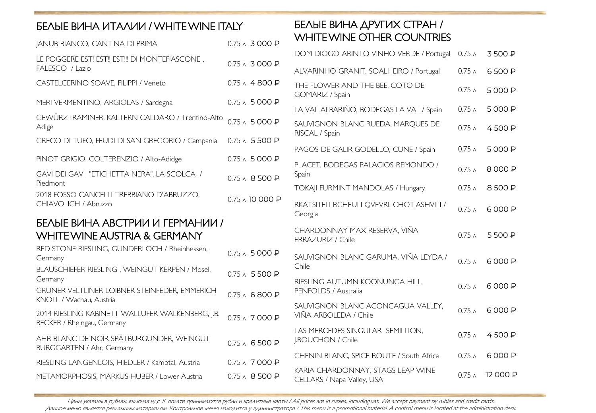# БЕЛЫЕ ВИНА ИТАЛИИ / WHITE WINE ITALY

| JANUB BIANCO, CANTINA DI PRIMA                                    | $0.75 \wedge 3000 \text{ P}$  |
|-------------------------------------------------------------------|-------------------------------|
| LE POGGERE EST! EST!! EST!!! DI MONTEFIASCONE,<br>FALESCO / Lazio | $0.75 \wedge 3000 \text{ P}$  |
| CASTELCERINO SOAVE, FILIPPI / Veneto                              | $0.75 \wedge 4800 \text{ P}$  |
| MERI VERMENTINO, ARGIOLAS / Sardegna                              | $0.75 \wedge 5000 \text{ P}$  |
| GEWÜRZTRAMINER, KALTERN CALDARO / Trentino-Alto<br>Adige          | $0.75 \wedge 5000 \text{ P}$  |
| GRECO DI TUFO, FEUDI DI SAN GREGORIO / Campania                   | $0.75 \wedge 5500 \text{ P}$  |
| PINOT GRIGIO, COLTERENZIO / Alto-Adidge                           | $0.75 \wedge 5000 \text{ P}$  |
| GAVI DEI GAVI "ETICHETTA NERA", LA SCOLCA /<br>Piedmont           | $0.75 \wedge 8.500 \text{ P}$ |
| 2018 FOSSO CANCELLI TREBBIANO D'ABRUZZO,<br>CHIAVOLICH / Abruzzo  | $0.75 \wedge 10000 \text{ P}$ |
|                                                                   |                               |

# БЕЛЫЕ ВИНА АВСТРИИ И ГЕРМАНИИ / WHITE WINE AUSTRIA & GERMANY

| RED STONE RIESLING, GUNDERLOCH / Rheinhessen,<br>Germany                       | $0.75 \wedge 5000 \text{ P}$ |   |
|--------------------------------------------------------------------------------|------------------------------|---|
| BLAUSCHIEFER RIESLING, WEINGUT KERPEN / Mosel,<br>Germany                      | $0.75 \wedge 5500 \text{ P}$ |   |
| GRUNER VELTLINER LOIBNER STEINFEDER, EMMERICH<br>KNOLL / Wachau, Austria       | $0.75 \wedge 6800 P$         |   |
| 2014 RIESLING KABINETT WALLUFER WALKENBERG, J.B.<br>BECKER / Rheingau, Germany | $0.75 \wedge 7000 \text{ P}$ |   |
| AHR BLANC DE NOIR SPÄTBURGUNDER, WEINGUT<br><b>BURGGARTEN / Ahr, Germany</b>   | $0.75 \wedge 6500 \text{ P}$ |   |
| RIESLING LANGENLOIS, HIEDLER / Kamptal, Austria                                | $0.75 \wedge 7000 \text{ P}$ | ( |
| METAMORPHOSIS, MARKUS HUBER / Lower Austria                                    | $0.75 \wedge 8500 \text{ P}$ |   |

# БЕЛЫЕ ВИНА ДРУГИХ СТРАН / WHITE WINE OTHER COUNTRIES

| DOM DIOGO ARINTO VINHO VERDE / Portugal                         | 0.75 <sub>A</sub> | 3500 P   |
|-----------------------------------------------------------------|-------------------|----------|
| ALVARINHO GRANIT, SOALHEIRO / Portugal                          | $0.75\Lambda$     | 6500 P   |
| THE FLOWER AND THE BEE, COTO DE<br>GOMARIZ / Spain              | 0.75 <sub>A</sub> | 5000 P   |
| LA VAL ALBARIÑO, BODEGAS LA VAL / Spain                         | 0.75 <sub>A</sub> | 5000 P   |
| SAUVIGNON BLANC RUEDA, MARQUES DE<br>RISCAL / Spain             | 0.75 <sub>A</sub> | 4500 P   |
| PAGOS DE GALIR GODELLO, CUNE / Spain                            | $0.75\Lambda$     | 5000 P   |
| PLACET, BODEGAS PALACIOS REMONDO /<br>Spain                     | 0.75 <sub>A</sub> | 8000P    |
| TOKA I FURMINT MANDOLAS / Hungary                               | 0.75 <sub>A</sub> | 8500P    |
| RKATSITELI RCHEULI QVEVRI, CHOTIASHVILI /<br>Georgia            | 0.75 <sub>A</sub> | 6000P    |
| CHARDONNAY MAX RESERVA, VIÑA<br>ERRAZURIZ / Chile               | 0.75 <sub>A</sub> | 5500 P   |
| SAUVIGNON BLANC GARUMA, VIÑA LEYDA /<br>Chile                   | $0.75\Lambda$     | 6000P    |
| RIESLING AUTUMN KOONUNGA HILL,<br>PENFOLDS / Australia          | $0.75\Lambda$     | 6000P    |
| SAUVIGNON BLANC ACONCAGUA VALLEY,<br>VIÑA ARBOLEDA / Chile      | 0.75 <sub>A</sub> | 6000P    |
| LAS MERCEDES SINGULAR SEMILLION,<br>J.BOUCHON / Chile           | 0.75 <sub>A</sub> | 4500 P   |
| CHENIN BLANC, SPICE ROUTE / South Africa                        | 0.75 <sub>A</sub> | 6000P    |
| KARIA CHARDONNAY, STAGS LEAP WINE<br>CELLARS / Napa Valley, USA | 0.75 <sub>A</sub> | 12 000 P |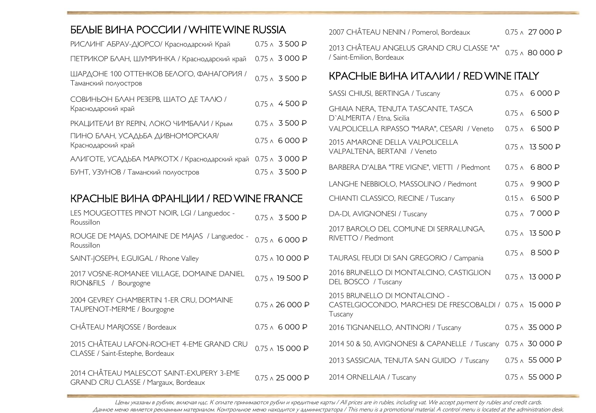### БЕЛЫЕ ВИНА РОССИИ / WHITE WINE RUSSIA

| РИСЛИНГ АБРАУ-ДЮРСО/ Краснодарский Край                          | $0.75 \wedge 3500 \text{ P}$ |
|------------------------------------------------------------------|------------------------------|
| ПЕТРИКОР БЛАН, ШУМРИНКА / Краснодарский край                     | 0.75 ∧ 3 000 ₽               |
| ШАРДОНЕ 100 ОТТЕНКОВ БЕЛОГО, ФАНАГОРИЯ /<br>Таманский полуостров | $0.75 \wedge 3500 P$         |
| СОВИНЬОН БЛАН РЕЗЕРВ, ШАТО ДЕ ТАЛЮ /<br>Краснодарский край       | $0.75 \wedge 4500 \text{ P}$ |
| РКАЦИТЕЛИ ВҮ REPIN, ЛОКО ЧИМБАЛИ / Крым                          | $0.75 \wedge 3500 \text{ P}$ |
| ПИНО БЛАН, УСАДЬБА ДИВНОМОРСКАЯ/<br>Краснодарский край           | 0.75 ∧ 6 000 ₽               |
| АЛИГОТЕ, УСАДЬБА МАРКОТХ / Краснодарский край                    | $0.75 \wedge 3000 \text{ P}$ |
| БУНТ, УЗУНОВ / Таманский полуостров                              | $0.75 \wedge 3500 \text{ P}$ |

# КРАСНЫЕ ВИНА ФРАНЦИИ / RED WINE FRANCE

| $0.75 \wedge 3500 \text{ P}$  | DA-DI, A'                             |
|-------------------------------|---------------------------------------|
| $0.75 \wedge 6000 P$          | 2017 BAF<br><b>RIVETTO</b>            |
| 0.75 ∧ 10 000 ₽               | <b>TAURASI</b>                        |
| 0.75 ∧ 19 500 ₽               | 2016 BRL<br><b>DEL BOS</b>            |
| 0.75 ∧ 26 000 ₽               | <b>2015 BRL</b><br>CASTELG<br>Tuscany |
| $0.75 \wedge 6000 \text{ P}$  | 2016 TIG                              |
| $0.75 \wedge 15000 \text{ P}$ | 2014 50 8                             |
|                               | 2013 SAS                              |
| $0.75 \wedge 25000 \text{ P}$ | 2014 ORI                              |
|                               |                                       |

2007 CHÂTEAU NENIN / Pomerol, Bordeaux 0.75 ∧ 27 000 P

2013 CHÂTEAU ANGELUS GRAND CRU CLASSE "A" 2013 CHATEAU ANGELUS GRAND CRU CLASSE "A" 0.75 λ 80 000 P<br>/ Saint-Emilion, Bordeaux

#### КРАСНЫЕ ВИНА ИТАЛИИ / RED WINE ITALY

| SASSI CHIUSI, BERTINGA / Tuscany                                                                      | $0.75 \wedge 6000 \text{ P}$   |
|-------------------------------------------------------------------------------------------------------|--------------------------------|
| GHIAIA NERA, TENUTA TASCANTE, TASCA<br>D'ALMERITA / Etna, Sicilia                                     | $0.75 \wedge 6500 P$           |
| VALPOLICELLA RIPASSO "MARA", CESARI / Veneto                                                          | $0.75 \wedge 6500 P$           |
| 2015 AMARONE DELLA VALPOLICELLA<br>VALPALTENA, BERTANI / Veneto                                       | $0.75 \wedge 13500 \text{ P}$  |
| BARBERA D'ALBA "TRE VIGNE", VIETTI / Piedmont                                                         | $0.75 \wedge 6800 P$           |
| LANGHE NEBBIOLO, MASSOLINO / Piedmont                                                                 | 0.75 ∧ 9 900 ₽                 |
| CHIANTI CLASSICO, RIECINE / Tuscany                                                                   | $0.15 \wedge 6500 \text{ P}$   |
| DA-DI, AVIGNONESI / Tuscany                                                                           | $0.75 \wedge 7000 \text{ P}$   |
| 2017 BAROLO DEL COMUNE DI SERRALUNGA,<br>RIVETTO / Piedmont                                           | $0.75 \wedge 13,500 \text{ P}$ |
| TAURASI, FEUDI DI SAN GREGORIO / Campania                                                             | 0.75 A 8 500 P                 |
| 2016 BRUNELLO DI MONTALCINO, CASTIGLION<br>DEL BOSCO / Tuscany                                        | 0.75 ∧ 13 000 ₽                |
| 2015 BRUNELLO DI MONTALCINO -<br>CASTELGIOCONDO, MARCHESI DE FRESCOBALDI / 0.75 ^ 15 000 P<br>Tuscany |                                |
| 2016 TIGNANELLO, ANTINORI / Tuscany                                                                   | $0.75 \wedge 35000 \text{ P}$  |
| 2014 50 & 50, AVIGNONESI & CAPANELLE / Tuscany 0.75 ^ 30 000 P                                        |                                |
| 2013 SASSICAIA, TENUTA SAN GUIDO / Tuscany                                                            | $0.75 \wedge 55000 \text{ P}$  |
| 2014 ORNELLAIA / Tuscany                                                                              | $0.75 \wedge 55000 \text{ P}$  |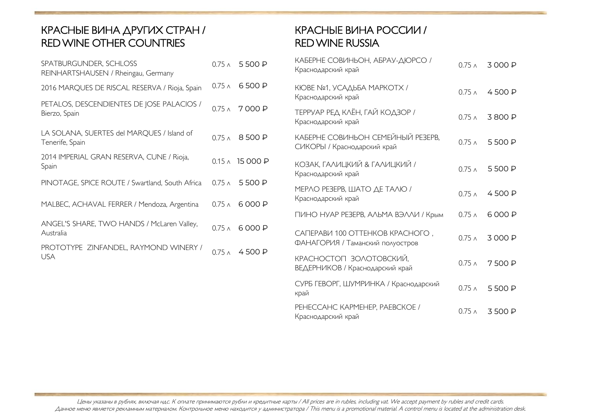# КРАСНЫЕ ВИНА ДРУГИХ СТРАН / RED WINE OTHER COUNTRIES

| SPATBURGUNDER, SCHLOSS<br>REINHARTSHAUSEN / Rheingau, Germany |               | 0.75 ∧ 5500 ₽                 |
|---------------------------------------------------------------|---------------|-------------------------------|
| 2016 MARQUES DE RISCAL RESERVA / Rioja, Spain                 |               | $0.75 \wedge 6500 \text{ P}$  |
| PETALOS, DESCENDIENTES DE JOSE PALACIOS /<br>Bierzo, Spain    |               | $0.75 \wedge 7000 \text{ P}$  |
| LA SOLANA, SUERTES del MARQUES / Island of<br>Tenerife, Spain |               | $0.75 \wedge 8500 \text{ P}$  |
| 2014 IMPERIAL GRAN RESERVA, CUNE / Rioja,<br>Spain            |               | $0.15 \wedge 15000 \text{ P}$ |
| PINOTAGE, SPICE ROUTE / Swartland, South Africa               |               | $0.75 \wedge 5500 \text{ P}$  |
| MALBEC, ACHAVAL FERRER / Mendoza, Argentina                   | $0.75 \wedge$ | 6 000 ₽                       |
| ANGEL'S SHARE, TWO HANDS / McLaren Valley,<br>Australia       | $0.75 \wedge$ | 6 000 ₽                       |
| PROTOTYPE ZINFANDEL, RAYMOND WINERY /<br><b>USA</b>           |               | $0.75 \wedge 4500 \text{ P}$  |
|                                                               |               |                               |

# КРАСНЫЕ ВИНА РОССИИ / RED WINE RUSSIA

| КАБЕРНЕ СОВИНЬОН, АБРАУ-ДЮРСО /<br>Краснодарский край               | $0.75 \wedge$     | 3000 P   |
|---------------------------------------------------------------------|-------------------|----------|
| КЮВЕ №1, УСАДЬБА МАРКОТХ /<br>Краснодарский край                    | 0.75 <sub>A</sub> | 4500 $P$ |
| ТЕРРУАР РЕД КЛЁН, ГАЙ КОДЗОР /<br>Краснодарский край                | 0.75 <sub>A</sub> | 3800 P   |
| КАБЕРНЕ СОВИНЬОН СЕМЕЙНЫЙ РЕЗЕРВ,<br>СИКОРЫ / Краснодарский край    | 0.75 <sub>A</sub> | 5500 P   |
| КОЗАК, ГАЛИЦКИЙ & ГАЛИЦКИЙ /<br>Краснодарский край                  | $0.75\Lambda$     | 5500 P   |
| МЕРЛО РЕЗЕРВ, ШАТО ДЕ ТАЛЮ /<br>Краснодарский край                  | 0.75 <sub>A</sub> | 4500 $P$ |
| ПИНО НУАР РЕЗЕРВ, АЛЬМА ВЭЛЛИ / Крым                                | $0.75\lambda$     | 6 000 ₽  |
| САПЕРАВИ 100 ОТТЕНКОВ КРАСНОГО,<br>ФАНАГОРИЯ / Таманский полуостров | 0.75 <sub>A</sub> | 3000 P   |
| КРАСНОСТОП ЗОЛОТОВСКИЙ,<br>ВЕДЕРНИКОВ / Краснодарский край          | 0.75 <sub>A</sub> | 7500 P   |
| СУРБ ГЕВОРГ, ШУМРИНКА / Краснодарский<br>край                       | 0.75 <sub>A</sub> | 5500 P   |
| PEHECCAHC KAPMEHEP, PAEBCKOE /<br>Краснодарский край                | 0.75 <sub>A</sub> | 3500 P   |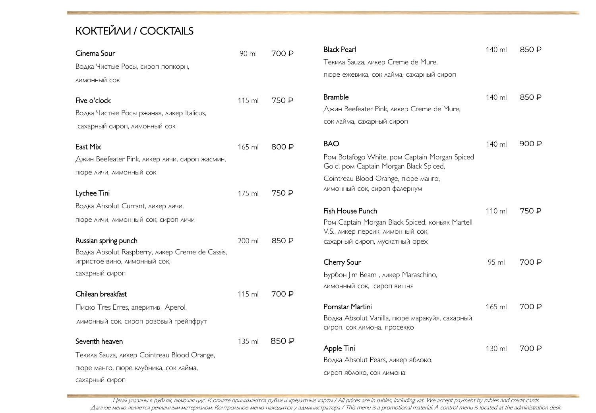# КОКТЕЙЛИ / COCKTAILS

| Cinema Sour                                                                     | 90 ml  | 700 P | <b>Black Pearl</b>                                                                      | 140 ml | 850 P |
|---------------------------------------------------------------------------------|--------|-------|-----------------------------------------------------------------------------------------|--------|-------|
| Водка Чистые Росы, сироп попкорн,                                               |        |       | Текила Sauza, ликер Creme de Mure,                                                      |        |       |
| ЛИМОННЫЙ СОК                                                                    |        |       | пюре ежевика, сок лайма, сахарный сироп                                                 |        |       |
| Five o'clock                                                                    | 115 ml | 750 P | <b>Bramble</b>                                                                          | 140 ml | 850 P |
| Водка Чистые Росы ржаная, ликер Italicus,                                       |        |       | Джин Beefeater Pink, ликер Creme de Mure,                                               |        |       |
| сахарный сироп, лимонный сок                                                    |        |       | сок лайма, сахарный сироп                                                               |        |       |
| East Mix                                                                        | 165 ml | 800 P | <b>BAO</b>                                                                              | 140 ml | 900 P |
| Джин Beefeater Pink, ликер личи, сироп жасмин,                                  |        |       | Pom Botafogo White, ром Captain Morgan Spiced<br>Gold, pom Captain Morgan Black Spiced, |        |       |
| пюре личи, лимонный сок                                                         |        |       | Cointreau Blood Orange, пюре манго,                                                     |        |       |
| Lychee Tini                                                                     | 175 ml | 750 P | лимонный сок, сироп фалернум                                                            |        |       |
| Водка Absolut Currant, ликер личи,                                              |        |       | Fish House Punch                                                                        | 110 ml | 750 P |
| пюре личи, лимонный сок, сироп личи                                             |        |       | Ром Captain Morgan Black Spiced, коньяк Martell<br>V.S., ликер персик, лимонный сок,    |        |       |
| Russian spring punch                                                            | 200 ml | 850 P | сахарный сироп, мускатный орех                                                          |        |       |
| Водка Absolut Raspberry, ликер Creme de Cassis,<br>игристое вино, лимонный сок, |        |       | Cherry Sour                                                                             | 95 ml  | 700 P |
| сахарный сироп                                                                  |        |       | Бурбон Jim Beam, ликер Maraschino,                                                      |        |       |
|                                                                                 |        |       | ЛИМОННЫЙ СОК, СИРОП ВИШНЯ                                                               |        |       |
| Chilean breakfast                                                               | 115 ml | 700 ₽ |                                                                                         |        |       |
| Писко Tres Erres, аперитив Aperol,                                              |        |       | Pornstar Martini                                                                        | 165 ml | 700 P |
| , лимонный сок, сироп розовый грейпфрут                                         |        |       | Водка Absolut Vanilla, пюре маракуйя, сахарный<br>сироп, сок лимона, просекко           |        |       |
| Seventh heaven                                                                  | 135 ml | 850 P | Apple Tini                                                                              | 130 ml | 700 P |
| Текила Sauza, ликер Cointreau Blood Orange,                                     |        |       | Водка Absolut Pears, ликер яблоко,                                                      |        |       |
| пюре манго, пюре клубника, сок лайма,                                           |        |       | сироп яблоко, сок лимона                                                                |        |       |
| сахарный сироп                                                                  |        |       |                                                                                         |        |       |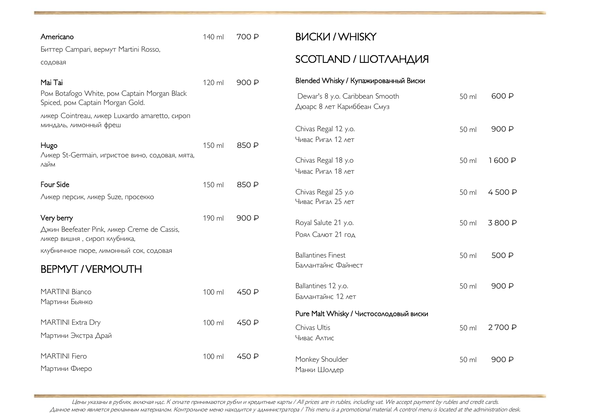| Americano                                                                        | 140 ml | 700 P | <b>B</b> UCKU / WHISKY                                        |       |        |
|----------------------------------------------------------------------------------|--------|-------|---------------------------------------------------------------|-------|--------|
| Биттер Campari, вермут Martini Rosso,                                            |        |       |                                                               |       |        |
| содовая                                                                          |        |       | SCOTLAND / ШОТЛАНДИЯ                                          |       |        |
| Mai Tai                                                                          | 120 ml | 900 P | Blended Whisky / Купажированный Виски                         |       |        |
| Ром Botafogo White, ром Captain Morgan Black<br>Spiced, pom Captain Morgan Gold. |        |       | Dewar's 8 y.o. Caribbean Smooth<br>Дюарс 8 лет Кариббеан Смуз | 50 ml | 600 P  |
| ликер Cointreau, ликер Luxardo amaretto, сироп<br>миндаль, лимонный фреш         |        |       | Chivas Regal 12 y.o.                                          | 50 ml | 900 ₽  |
| Hugo<br>Ликер St-Germain, игристое вино, содовая, мята,                          | 150 ml | 850 P | Чивас Ригал 12 лет                                            |       |        |
| лайм                                                                             |        |       | Chivas Regal 18 y.o<br>Чивас Ригал 18 лет                     | 50 ml | 1600 P |
| Four Side                                                                        | 150 ml | 850 P |                                                               |       | 4500 P |
| Ликер персик, ликер Suze, просекко                                               |        |       | Chivas Regal 25 y.o<br>Чивас Ригал 25 лет                     | 50 ml |        |
| Very berry                                                                       | 190 ml | 900 ₽ | Royal Salute 21 y.o.                                          | 50 ml | 3800 P |
| Джин Beefeater Pink, ликер Creme de Cassis,<br>ликер вишня, сироп клубника,      |        |       | Роял Салют 21 год                                             |       |        |
| клубничное пюре, лимонный сок, содовая                                           |        |       | <b>Ballantines Finest</b>                                     | 50 ml | 500 P  |
| <b>BEPMYT / VERMOUTH</b>                                                         |        |       | Баллантайнс Файнест                                           |       |        |
| <b>MARTINI Bianco</b><br>Мартини Бьянко                                          | 100 ml | 450 P | Ballantines 12 y.o.<br>Баллантайнс 12 лет                     | 50 ml | 900 P  |
|                                                                                  |        |       | Pure Malt Whisky / Чистосолодовый виски                       |       |        |
| MARTINI Extra Dry<br>Мартини Экстра Драй                                         | 100 ml | 450 P | Chivas Ultis<br>Чивас Алтис                                   | 50 ml | 2700 P |
| <b>MARTINI</b> Fiero<br>Мартини Фиеро                                            | 100 ml | 450 P | Monkey Shoulder<br>Манки Шолдер                               | 50 ml | 900 P  |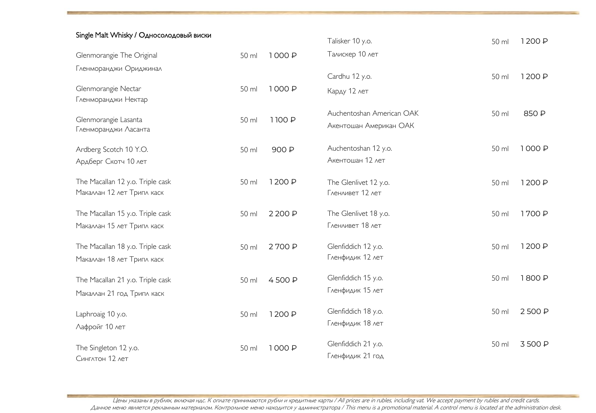| Single Malt Whisky / Односолодовый виски                       |       |        | Talisker 10 y.o.                                    | 50 ml | 1200 P |
|----------------------------------------------------------------|-------|--------|-----------------------------------------------------|-------|--------|
| Glenmorangie The Original                                      | 50 ml | 1000 P | Талискер 10 лет                                     |       |        |
| Гленморанджи Ориджинал                                         |       |        | Cardhu 12 y.o.                                      | 50 ml | 1200 P |
| Glenmorangie Nectar<br>Гленморанджи Нектар                     | 50 ml | 1000 P | Карду 12 лет                                        |       |        |
| Glenmorangie Lasanta<br>Гленморанджи Ласанта                   | 50 ml | 1100 P | Auchentoshan American OAK<br>Акентошан Американ ОАК | 50 ml | 850 P  |
| Ardberg Scotch 10 Y.O.<br>Ардберг Скотч 10 лет                 | 50 ml | 900 P  | Auchentoshan 12 y.o.<br>Акентошан 12 лет            | 50 ml | 1000 P |
| The Macallan 12 y.o. Triple cask<br>Макаллан 12 лет Трипл каск | 50 ml | 1200₽  | The Glenlivet 12 y.o.<br>Гленливет 12 лет           | 50 ml | 1200 P |
| The Macallan 15 y.o. Triple cask<br>Макаллан 15 лет Трипл каск | 50 ml | 2200 P | The Glenlivet 18 y.o.<br>Гленливет 18 лет           | 50 ml | 1700 P |
| The Macallan 18 y.o. Triple cask<br>Макаллан 18 лет Трипл каск | 50 ml | 2700 P | Glenfiddich 12 y.o.<br>Гленфидик 12 лет             | 50 ml | 1200 P |
| The Macallan 21 y.o. Triple cask<br>Макаллан 21 год Трипл каск | 50 ml | 4500 P | Glenfiddich 15 y.o.<br>Гленфидик 15 лет             | 50 ml | 1800 P |
| Laphroaig 10 y.o.<br>Лафройг 10 лет                            | 50 ml | 1200₽  | Glenfiddich 18 y.o.<br>Гленфидик 18 лет             | 50 ml | 2500 P |
| The Singleton 12 y.o.<br>Синглтон 12 лет                       | 50 ml | 1000 P | Glenfiddich 21 y.o.<br>Гленфидик 21 год             | 50 ml | 3500 P |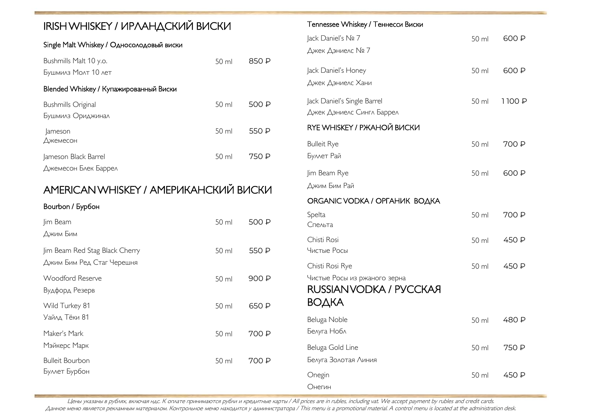| <b>IRISH WHISKEY / ИРЛАНДСКИЙ ВИСКИ</b>                       |       |       | Tennessee Whiskey / Тен                               |
|---------------------------------------------------------------|-------|-------|-------------------------------------------------------|
| Single Malt Whiskey / Односолодовый виски                     |       |       | Jack Daniel's No 7<br>Джек Дэниелс № 7                |
| Bushmills Malt 10 y.o.<br>Бушмилз Молт 10 лет                 | 50 ml | 850 P | Jack Daniel's Honey                                   |
| Blended Whiskey / Купажированный Виски                        |       |       | Джек Дэниелс Хани                                     |
| <b>Bushmills Original</b><br>Бушмилз Ориджинал                | 50 ml | 500 P | Jack Daniel's Single Barrel<br>Джек Дэниелс Сингл Бар |
| Jameson                                                       | 50 ml | 550 P | RYE WHISKEY / PXAHC                                   |
| Джемесон<br>Jameson Black Barrel                              | 50 ml | 750 P | <b>Bulleit Rye</b><br>Буллет Рай                      |
| Джемесон Блек Баррел<br>AMERICAN WHISKEY / АМЕРИКАНСКИЙ ВИСКИ |       |       | Jim Beam Rye<br>Джим Бим Рай                          |
| Bourbon / Бурбон                                              |       |       | ORGANIC VODKA / OP                                    |
| Jim Beam                                                      | 50 ml | 500 P | Spelta<br>Спельта                                     |
| Джим Бим<br>Jim Beam Red Stag Black Cherry                    | 50 ml | 550 P | Chisti Rosi<br>Чистые Росы                            |
| Джим Бим Ред Стаг Черешня                                     |       |       | Chisti Rosi Rye                                       |
| Woodford Reserve<br>Вудфорд Резерв                            | 50 ml | 900 P | Чистые Росы из ржаного<br><b>RUSSIAN VODKA</b>        |
| Wild Turkey 81                                                | 50 ml | 650 ₽ | ВОДКА                                                 |
| Уайлд Тёки 81                                                 |       |       | Beluga Noble                                          |
| Maker's Mark                                                  | 50 ml | 700 P | Белуга Нобл                                           |
| Мэйкерс Марк<br><b>Bulleit Bourbon</b>                        | 50 ml | 700 P | Beluga Gold Line<br>Белуга Золотая Линия              |
| Буллет Бурбон                                                 |       |       | Onegin                                                |
|                                                               |       |       |                                                       |

несси Виски 50 ml 600 P 50 ml 600 P 50 ml 1 100 P ррел ОЙ ВИСКИ Bulleit Rye 50 ml 50 ml 50 ml 50 ml 50 ml 50 ml 50 ml 50 ml 50 ml 50 ml 50 ml 50 ml 50 ml 50 ml 50 ml 50 ml 50 50 ml 600 P РГАНИК ВОДКА 50 ml 700 P Chisti Rosi **Chisti** Rosi **1999** Chisti Rosi Rye 50 ml 450 P зерна **V РУССКАЯ** 50 ml 480 P Beluga Gold Line 50 ml 50 ml 50 P 50 ml 450 P Онегин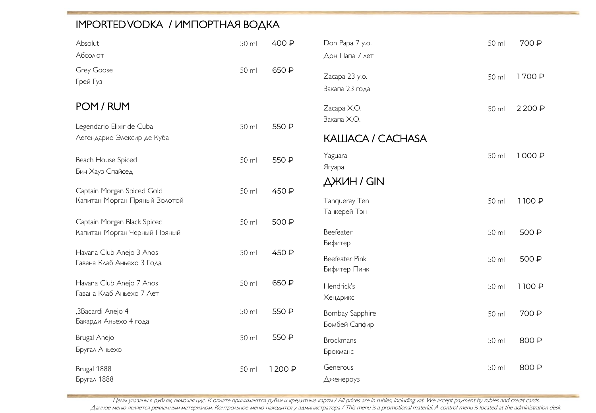# IMPORTED VODKA / ИМПОРТНАЯ ВОДКА

| Absolut                       | 50 ml | 400 P | Don Papa 7 y.o.                       | 50 ml | 700 P   |
|-------------------------------|-------|-------|---------------------------------------|-------|---------|
| Абсолют                       |       |       | Дон Папа 7 лет                        |       |         |
| Grey Goose<br>Грей Гуз        | 50 ml | 650 P | Zacapa 23 y.o.                        | 50 ml | 1700 P  |
|                               |       |       | Закапа 23 года                        |       |         |
| POM / RUM                     |       |       | Zacapa X.O.                           | 50 ml | 2 200 P |
| Legendario Elixir de Cuba     | 50 ml | 550 P | Закапа Х.О.                           |       |         |
| Легендарио Элексир де Куба    |       |       | КАШАСА / CACHASA                      |       |         |
| Beach House Spiced            | 50 ml | 550 P | Yaguara                               | 50 ml | 1000 P  |
| Бич Хауз Спайсед              |       |       | Ягуара                                |       |         |
| Captain Morgan Spiced Gold    | 50 ml | 450 P | ДЖИН / GIN                            |       |         |
| Капитан Морган Пряный Золотой |       |       | Tanqueray Ten                         | 50 ml | 1100 P  |
| Captain Morgan Black Spiced   | 50 ml | 500 P | Танкерей Тэн                          |       |         |
| Капитан Морган Черный Пряный  |       |       | Beefeater                             | 50 ml | 500 P   |
| Havana Club Anejo 3 Anos      | 50 ml | 450 P | Бифитер                               |       |         |
| Гавана Клаб Аньехо 3 Года     |       |       | <b>Beefeater Pink</b><br>Бифитер Пинк | 50 ml | 500 P   |
| Havana Club Anejo 7 Anos      | 50 ml | 650 P | Hendrick's                            | 50 ml | 1100 P  |
| Гавана Клаб Аньехо 7 Лет      |       |       | Хендрикс                              |       |         |
| ,3Bacardi Anejo 4             | 50 ml | 550 P | Bombay Sapphire                       | 50 ml | 700 P   |
| Бакарди Аньехо 4 года         |       |       | Бомбей Сапфир                         |       |         |
| Brugal Anejo                  | 50 ml | 550 P | <b>Brockmans</b>                      | 50 ml | 800 P   |
| Бругал Аньехо                 |       |       | Брокманс                              |       |         |
| Brugal 1888                   | 50 ml | 1200₽ | Generous                              | 50 ml | 800 P   |
| Бругал 1888                   |       |       | Дженероуз                             |       |         |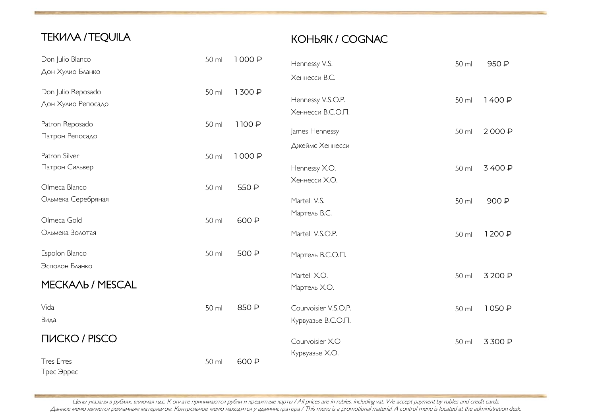# ТЕКИЛА / TEQUILA

# КОНЬЯК / COGNAC

| Don Julio Blanco<br>Дон Хулио Бланко          | 50 ml | 1000₽  | Hennessy V.S.<br>Хеннесси В.С.             | 50 ml | 950 P   |
|-----------------------------------------------|-------|--------|--------------------------------------------|-------|---------|
| Don Julio Reposado<br>Дон Хулио Репосадо      | 50 ml | 1300 P | Hennessy V.S.O.P.<br>Хеннесси В.С.О.П.     | 50 ml | 1400 P  |
| Patron Reposado<br>Патрон Репосадо            | 50 ml | 1100 P | James Hennessy<br>Джеймс Хеннесси          | 50 ml | 2000 P  |
| Patron Silver<br>Патрон Сильвер               | 50 ml | 1000 P | Hennessy X.O.<br>Хеннесси Х.О.             | 50 ml | 3400 P  |
| Olmeca Blanco<br>Ольмека Серебряная           | 50 ml | 550 P  | Martell V.S.                               | 50 ml | 900 P   |
| Olmeca Gold<br>Ольмека Золотая                | 50 ml | 600 P  | Мартель В.С.<br>Martell V.S.O.P.           | 50 ml | 1200 P  |
| Espolon Blanco<br>Эсполон Бланко              | 50 ml | 500 P  | Мартель В.С.О.П.<br>Martell X.O.           |       |         |
| MECKAAb / MESCAL                              |       |        | Мартель Х.О.                               | 50 ml | 3 200 P |
| Vida<br>Вида                                  | 50 ml | 850 P  | Courvoisier V.S.O.P.<br>Курвуазье В.С.О.П. | 50 ml | 1050 P  |
| <b>ПИСКО / PISCO</b>                          |       |        | Courvoisier X.O<br>Курвуазье Х.О.          | 50 ml | 3300 P  |
| <b>Tres Erres</b><br>Tpec <i><b>Эppec</b></i> | 50 ml | 600 P  |                                            |       |         |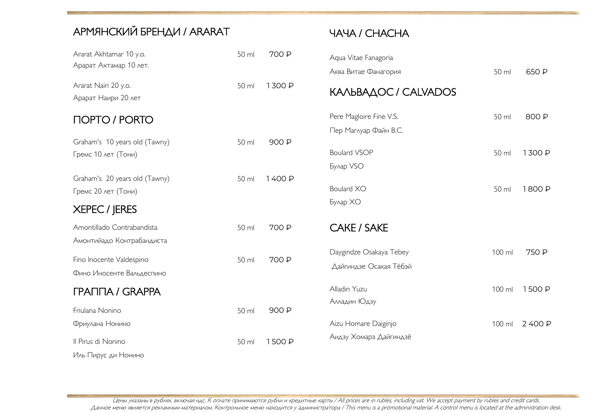#### АРМЯНСКИЙ БРЕНДИ / АRАRАТ Ararat Akhtamar 10 y.o. 50 ml 700 P Арарат Ахтамар 10 лет. Ararat Nairi 20 y.o. 50 ml 1 300 P Арарат Наири 20 лет ПОРТО / PORTO Graham's 10 years old (Tawny) 50 ml 900 P Гремс 10 лет (Тони) Graham's 20 years old (Tawny) 50 ml 1400 P Гремс 20 лет (Тони) ХЕРЕС / JERES Amontillado Contrabandista 50 ml 700 P Амонтийадо Контрабандиста Fino Inocente Valdespino 50 ml 700 P Фино Иносенте Вальдеспино ГРАППА / GRAPPA Friulana Nonino 50 ml 900 P Фриулана Нонино Il Pirus di Nonino 50 ml 1 500 ₽ ЧАЧА / СHACHA Aqua Vitae Fanagoria Аква Витае Фанагория 50 ml 650 ₽ КАЛЬВАДОС / CALVADOS Pere Magloire Fine V.S. 50 ml 800 P Пер Маглуар Файн В.С. Boulard VSOP 50 ml 1 300 P Булар VSO Boulard XO 50 ml 1 800 P Булар ХО САКЕ / SAKE Daygindze Osakaya Tebey 100 ml 750 P Дайгиндзе Осакая Тёбэй Alladin Yuzu 100 ml 1 500 P Алладин Юдзу Aizu Homare Daiginjo 100 ml 2 400 P Аидзу Хомарэ Дайгиндзё

Иль Пирус ди Нонино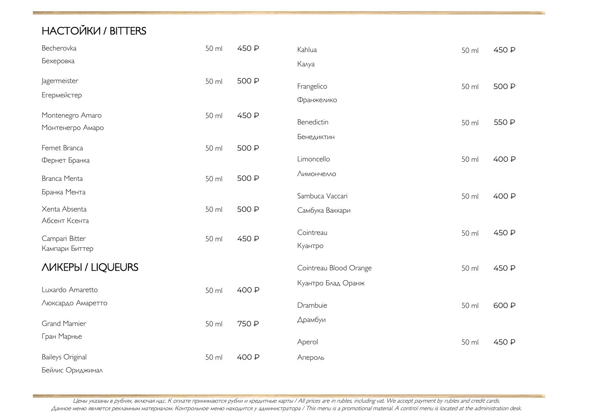# НАСТОЙКИ / BITTERS

| Becherovka                      | 50 ml | 450 P | Kahlua                 | 50 ml | 450 P |
|---------------------------------|-------|-------|------------------------|-------|-------|
| Бехеровка                       |       |       | Калуа                  |       |       |
| Jagermeister                    | 50 ml | 500 P | Frangelico             | 50 ml | 500 P |
| Егермейстер                     |       |       | Франжелико             |       |       |
| Montenegro Amaro                | 50 ml | 450 P |                        |       |       |
| Монтенегро Амаро                |       |       | Benedictin             | 50 ml | 550 P |
| Fernet Branca                   | 50 ml | 500 P | Бенедиктин             |       |       |
| Фернет Бранка                   |       |       | Limoncello             | 50 ml | 400 P |
| Branca Menta                    | 50 ml | 500 P | Лимончелло             |       |       |
| Бранка Мента                    |       |       | Sambuca Vaccari        | 50 ml | 400 P |
| Xenta Absenta                   | 50 ml | 500 P | Самбука Ваккари        |       |       |
| Абсент Ксента                   |       |       |                        |       |       |
| Campari Bitter                  | 50 ml | 450 P | Cointreau              | 50 ml | 450 P |
| Кампари Биттер                  |       |       | Куантро                |       |       |
| <b><i>NUKEPH / LIQUEURS</i></b> |       |       | Cointreau Blood Orange | 50 ml | 450 P |
| Luxardo Amaretto                | 50 ml | 400 P | Куантро Блад Оранж     |       |       |
| Люксардо Амаретто               |       |       |                        |       |       |
|                                 |       |       | Drambuie               | 50 ml | 600 P |
| Grand Marnier                   | 50 ml | 750 P | Драмбуи                |       |       |
| Гран Марнье                     |       |       | Aperol                 | 50 ml | 450 P |
| <b>Baileys Original</b>         | 50 ml | 400 P | Апероль                |       |       |
| Бейлис Ориджинал                |       |       |                        |       |       |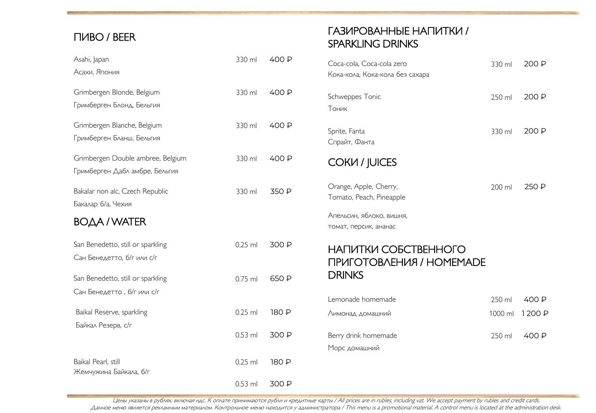# ПИВО / BEER

# ГАЗИРОВАННЫЕ НАПИТКИ / SPARKLING DRINKS

| Asahi, Japan<br>Асахи, Япония     | 330 ml    | 400 P | Coca-cola, Coca-cola zero       | 330 ml  | 200 ₽           |
|-----------------------------------|-----------|-------|---------------------------------|---------|-----------------|
|                                   |           |       | Кока-кола, Кока-кола без сахара |         |                 |
| Grimbergen Blonde, Belgium        | 330 ml    | 400 P | Schweppes Tonic                 | 250 ml  | 200 ₽           |
| Гримберген Блонд, Бельгия         |           |       | Тоник                           |         |                 |
| Grimbergen Blanche, Belgium       | 330 ml    | 400 P | Sprite, Fanta                   | 330 ml  | 200 P           |
| Гримберген Бланш, Бельгия         |           |       | Спрайт, Фанта                   |         |                 |
| Grimbergen Double ambree, Belgium | 330 ml    | 400 P | COKVI / JUICES                  |         |                 |
| Гримберген Дабл амбре, Бельгия    |           |       |                                 |         |                 |
| Bakalar non alc, Czech Republic   | 330 ml    | 350 ₽ | Orange, Apple, Cherry,          | 200 ml  | 250 ₽           |
| Бакалар б/а, Чехия                |           |       | Tomato, Peach, Pineapple        |         |                 |
| <b>BOAA / WATER</b>               |           |       | Апельсин, яблоко, вишня,        |         |                 |
|                                   |           |       | томат, персик, ананас           |         |                 |
| San Benedetto, still or sparkling | $0.25$ ml | 300 P | НАПИТКИ СОБСТВЕННОГО            |         |                 |
| Сан Бенедетто, б/г или с/г        |           |       | ПРИГОТОВЛЕНИЯ / НОМЕМАДЕ        |         |                 |
| San Benedetto, still or sparkling | 0.75 ml   | 650 P | <b>DRINKS</b>                   |         |                 |
| Сан Бенедетто, б/г или с/г        |           |       |                                 |         |                 |
| Baikal Reserve, sparkling         | $0.25$ ml | 180 P | Lemonade homemade               | 250 ml  | 400 P<br>1200 P |
| Байкал Резерв, с/г                |           |       | Лимонад домашний                | 1000 ml |                 |
|                                   | $0.53$ ml | 300 P | Berry drink homemade            | 250 ml  | 400 P           |
|                                   |           |       | Морс домашний                   |         |                 |
| Baikal Pearl, still               | $0.25$ ml | 180 P |                                 |         |                 |
| Жемчужина Байкала, б/г            |           |       |                                 |         |                 |
|                                   | $0.53$ ml | 300 P |                                 |         |                 |